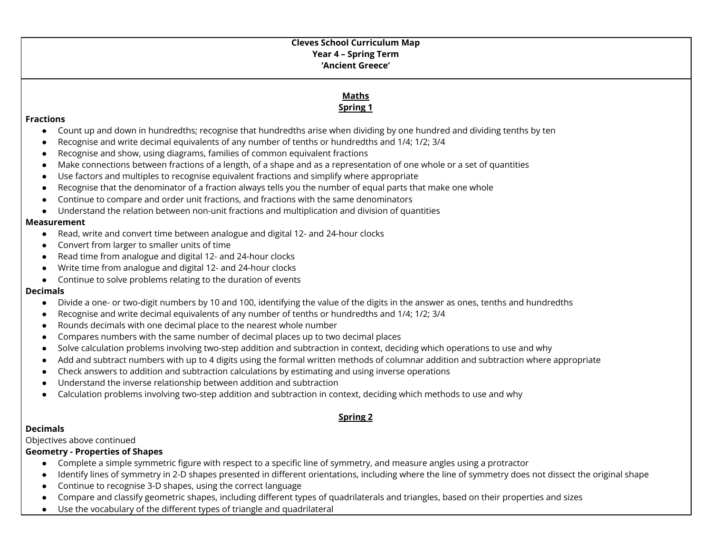### **Cleves School Curriculum Map Year 4 – Spring Term 'Ancient Greece'**

# **Maths Spring 1**

#### **Fractions**

- Count up and down in hundredths; recognise that hundredths arise when dividing by one hundred and dividing tenths by ten
- Recognise and write decimal equivalents of any number of tenths or hundredths and 1/4; 1/2; 3/4
- Recognise and show, using diagrams, families of common equivalent fractions
- Make connections between fractions of a length, of a shape and as a representation of one whole or a set of quantities
- Use factors and multiples to recognise equivalent fractions and simplify where appropriate
- Recognise that the denominator of a fraction always tells you the number of equal parts that make one whole
- Continue to compare and order unit fractions, and fractions with the same denominators
- Understand the relation between non-unit fractions and multiplication and division of quantities

#### **Measurement**

- Read, write and convert time between analogue and digital 12- and 24-hour clocks
- Convert from larger to smaller units of time
- Read time from analogue and digital 12- and 24-hour clocks
- Write time from analogue and digital 12- and 24-hour clocks
- Continue to solve problems relating to the duration of events

### **Decimals**

- Divide a one- or two-digit numbers by 10 and 100, identifying the value of the digits in the answer as ones, tenths and hundredths
- Recognise and write decimal equivalents of any number of tenths or hundredths and 1/4; 1/2; 3/4
- Rounds decimals with one decimal place to the nearest whole number
- Compares numbers with the same number of decimal places up to two decimal places
- Solve calculation problems involving two-step addition and subtraction in context, deciding which operations to use and why
- Add and subtract numbers with up to 4 digits using the formal written methods of columnar addition and subtraction where appropriate
- Check answers to addition and subtraction calculations by estimating and using inverse operations
- Understand the inverse relationship between addition and subtraction
- Calculation problems involving two-step addition and subtraction in context, deciding which methods to use and why

## **Spring 2**

### **Decimals**

Objectives above continued

### **Geometry - Properties of Shapes**

- Complete a simple symmetric figure with respect to a specific line of symmetry, and measure angles using a protractor
- Identify lines of symmetry in 2-D shapes presented in different orientations, including where the line of symmetry does not dissect the original shape
- Continue to recognise 3-D shapes, using the correct language
- Compare and classify geometric shapes, including different types of quadrilaterals and triangles, based on their properties and sizes
- Use the vocabulary of the different types of triangle and quadrilateral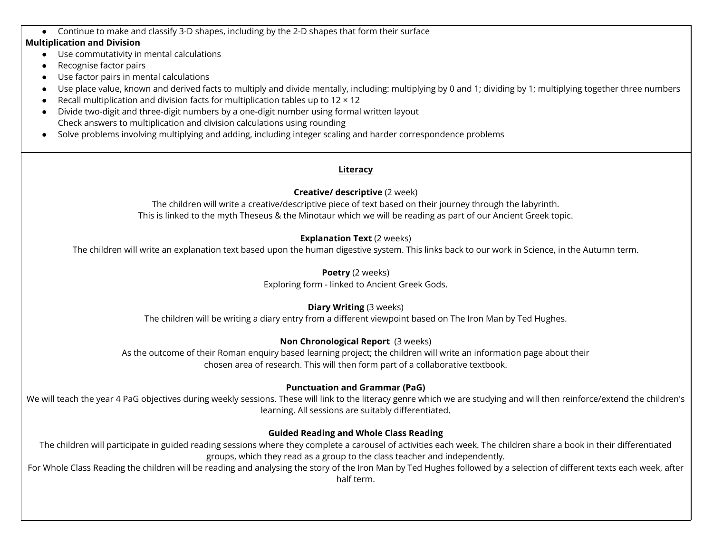● Continue to make and classify 3-D shapes, including by the 2-D shapes that form their surface

#### **Multiplication and Division**

- Use commutativity in mental calculations
- Recognise factor pairs
- Use factor pairs in mental calculations
- Use place value, known and derived facts to multiply and divide mentally, including: multiplying by 0 and 1; dividing by 1; multiplying together three numbers
- Recall multiplication and division facts for multiplication tables up to  $12 \times 12$
- Divide two-digit and three-digit numbers by a one-digit number using formal written layout Check answers to multiplication and division calculations using rounding
- Solve problems involving multiplying and adding, including integer scaling and harder correspondence problems

#### **Literacy**

#### **Creative/ descriptive** (2 week)

The children will write a creative/descriptive piece of text based on their journey through the labyrinth. This is linked to the myth Theseus & the Minotaur which we will be reading as part of our Ancient Greek topic.

### **Explanation Text** (2 weeks)

The children will write an explanation text based upon the human digestive system. This links back to our work in Science, in the Autumn term.

#### **Poetry** (2 weeks)

Exploring form - linked to Ancient Greek Gods.

## **Diary Writing** (3 weeks)

The children will be writing a diary entry from a different viewpoint based on The Iron Man by Ted Hughes.

## **Non Chronological Report** (3 weeks)

As the outcome of their Roman enquiry based learning project; the children will write an information page about their chosen area of research. This will then form part of a collaborative textbook.

## **Punctuation and Grammar (PaG)**

We will teach the year 4 PaG objectives during weekly sessions. These will link to the literacy genre which we are studying and will then reinforce/extend the children's learning. All sessions are suitably differentiated.

### **Guided Reading and Whole Class Reading**

The children will participate in guided reading sessions where they complete a carousel of activities each week. The children share a book in their differentiated groups, which they read as a group to the class teacher and independently.

For Whole Class Reading the children will be reading and analysing the story of the Iron Man by Ted Hughes followed by a selection of different texts each week, after half term.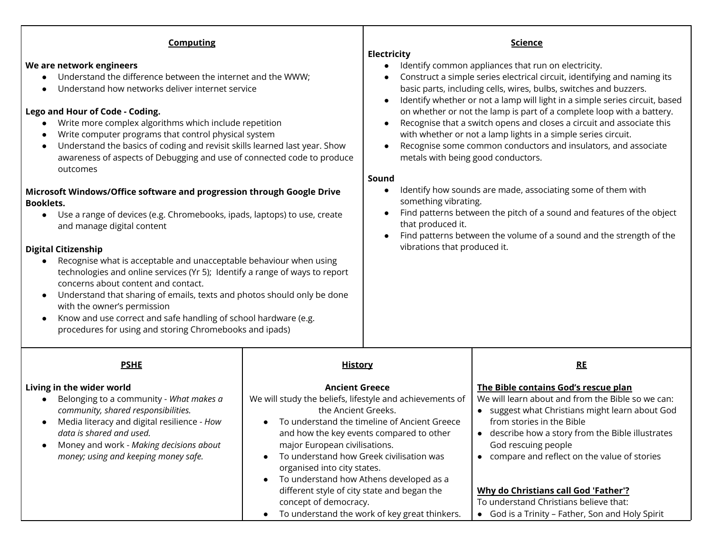| <b>Computing</b><br>We are network engineers<br>Understand the difference between the internet and the WWW;<br>$\bullet$<br>Understand how networks deliver internet service<br>Lego and Hour of Code - Coding.<br>Write more complex algorithms which include repetition<br>Write computer programs that control physical system<br>Understand the basics of coding and revisit skills learned last year. Show<br>$\bullet$<br>awareness of aspects of Debugging and use of connected code to produce<br>outcomes<br>Microsoft Windows/Office software and progression through Google Drive<br><b>Booklets.</b><br>Use a range of devices (e.g. Chromebooks, ipads, laptops) to use, create<br>$\bullet$<br>and manage digital content<br><b>Digital Citizenship</b><br>Recognise what is acceptable and unacceptable behaviour when using<br>$\bullet$<br>technologies and online services (Yr 5); Identify a range of ways to report<br>concerns about content and contact.<br>Understand that sharing of emails, texts and photos should only be done<br>$\bullet$<br>with the owner's permission<br>Know and use correct and safe handling of school hardware (e.g.<br>$\bullet$<br>procedures for using and storing Chromebooks and ipads) |                                                                                                                                                                                                                                                                                                                                                                                                                                                                                                                                               | <b>Science</b><br><b>Electricity</b><br>Identify common appliances that run on electricity.<br>$\bullet$<br>Construct a simple series electrical circuit, identifying and naming its<br>basic parts, including cells, wires, bulbs, switches and buzzers.<br>Identify whether or not a lamp will light in a simple series circuit, based<br>on whether or not the lamp is part of a complete loop with a battery.<br>Recognise that a switch opens and closes a circuit and associate this<br>with whether or not a lamp lights in a simple series circuit.<br>Recognise some common conductors and insulators, and associate<br>metals with being good conductors.<br>Sound<br>Identify how sounds are made, associating some of them with<br>something vibrating.<br>Find patterns between the pitch of a sound and features of the object<br>that produced it.<br>Find patterns between the volume of a sound and the strength of the<br>$\bullet$<br>vibrations that produced it. |                                                                                                                                                                                                                                                                                                                                                                                                                                                           |
|--------------------------------------------------------------------------------------------------------------------------------------------------------------------------------------------------------------------------------------------------------------------------------------------------------------------------------------------------------------------------------------------------------------------------------------------------------------------------------------------------------------------------------------------------------------------------------------------------------------------------------------------------------------------------------------------------------------------------------------------------------------------------------------------------------------------------------------------------------------------------------------------------------------------------------------------------------------------------------------------------------------------------------------------------------------------------------------------------------------------------------------------------------------------------------------------------------------------------------------------------|-----------------------------------------------------------------------------------------------------------------------------------------------------------------------------------------------------------------------------------------------------------------------------------------------------------------------------------------------------------------------------------------------------------------------------------------------------------------------------------------------------------------------------------------------|---------------------------------------------------------------------------------------------------------------------------------------------------------------------------------------------------------------------------------------------------------------------------------------------------------------------------------------------------------------------------------------------------------------------------------------------------------------------------------------------------------------------------------------------------------------------------------------------------------------------------------------------------------------------------------------------------------------------------------------------------------------------------------------------------------------------------------------------------------------------------------------------------------------------------------------------------------------------------------------|-----------------------------------------------------------------------------------------------------------------------------------------------------------------------------------------------------------------------------------------------------------------------------------------------------------------------------------------------------------------------------------------------------------------------------------------------------------|
| <b>PSHE</b><br>Living in the wider world<br>Belonging to a community - What makes a<br>$\bullet$<br>community, shared responsibilities.<br>Media literacy and digital resilience - How<br>$\bullet$<br>data is shared and used.<br>Money and work - Making decisions about<br>money; using and keeping money safe.                                                                                                                                                                                                                                                                                                                                                                                                                                                                                                                                                                                                                                                                                                                                                                                                                                                                                                                               | <u>History</u><br><b>Ancient Greece</b><br>We will study the beliefs, lifestyle and achievements of<br>the Ancient Greeks.<br>To understand the timeline of Ancient Greece<br>$\bullet$<br>and how the key events compared to other<br>major European civilisations.<br>To understand how Greek civilisation was<br>organised into city states.<br>To understand how Athens developed as a<br>$\bullet$<br>different style of city state and began the<br>concept of democracy.<br>To understand the work of key great thinkers.<br>$\bullet$ |                                                                                                                                                                                                                                                                                                                                                                                                                                                                                                                                                                                                                                                                                                                                                                                                                                                                                                                                                                                       | RE<br>The Bible contains God's rescue plan<br>We will learn about and from the Bible so we can:<br>• suggest what Christians might learn about God<br>from stories in the Bible<br>• describe how a story from the Bible illustrates<br>God rescuing people<br>• compare and reflect on the value of stories<br><b>Why do Christians call God 'Father'?</b><br>To understand Christians believe that:<br>• God is a Trinity - Father, Son and Holy Spirit |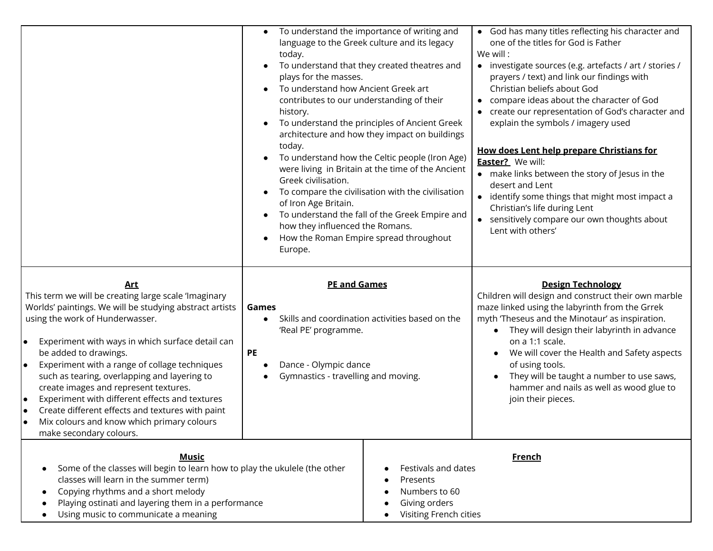|                                                                                                                                                                                                                                                                                                                                                                                                                                                                                                                                                                                                 | To understand the importance of writing and<br>language to the Greek culture and its legacy<br>today.<br>To understand that they created theatres and<br>plays for the masses.<br>To understand how Ancient Greek art<br>contributes to our understanding of their<br>history.<br>To understand the principles of Ancient Greek<br>architecture and how they impact on buildings<br>today.<br>To understand how the Celtic people (Iron Age)<br>were living in Britain at the time of the Ancient<br>Greek civilisation.<br>To compare the civilisation with the civilisation<br>of Iron Age Britain.<br>To understand the fall of the Greek Empire and<br>how they influenced the Romans.<br>How the Roman Empire spread throughout<br>Europe. | • God has many titles reflecting his character and<br>one of the titles for God is Father<br>We will:<br>• investigate sources (e.g. artefacts / art / stories /<br>prayers / text) and link our findings with<br>Christian beliefs about God<br>• compare ideas about the character of God<br>• create our representation of God's character and<br>explain the symbols / imagery used<br>How does Lent help prepare Christians for<br>Easter? We will:<br>• make links between the story of Jesus in the<br>desert and Lent<br>• identify some things that might most impact a<br>Christian's life during Lent<br>• sensitively compare our own thoughts about<br>Lent with others' |
|-------------------------------------------------------------------------------------------------------------------------------------------------------------------------------------------------------------------------------------------------------------------------------------------------------------------------------------------------------------------------------------------------------------------------------------------------------------------------------------------------------------------------------------------------------------------------------------------------|-------------------------------------------------------------------------------------------------------------------------------------------------------------------------------------------------------------------------------------------------------------------------------------------------------------------------------------------------------------------------------------------------------------------------------------------------------------------------------------------------------------------------------------------------------------------------------------------------------------------------------------------------------------------------------------------------------------------------------------------------|---------------------------------------------------------------------------------------------------------------------------------------------------------------------------------------------------------------------------------------------------------------------------------------------------------------------------------------------------------------------------------------------------------------------------------------------------------------------------------------------------------------------------------------------------------------------------------------------------------------------------------------------------------------------------------------|
| <u>Art</u><br>This term we will be creating large scale 'Imaginary<br>Worlds' paintings. We will be studying abstract artists<br>using the work of Hunderwasser.<br>Experiment with ways in which surface detail can<br>l o<br>be added to drawings.<br>Experiment with a range of collage techniques<br>I۰<br>such as tearing, overlapping and layering to<br>create images and represent textures.<br>Experiment with different effects and textures<br>I۰<br>Create different effects and textures with paint<br>I۰<br>Mix colours and know which primary colours<br>make secondary colours. | <b>PE and Games</b><br>Games<br>Skills and coordination activities based on the<br>$\bullet$<br>'Real PE' programme.<br><b>PE</b><br>Dance - Olympic dance<br>Gymnastics - travelling and moving.                                                                                                                                                                                                                                                                                                                                                                                                                                                                                                                                               | <b>Design Technology</b><br>Children will design and construct their own marble<br>maze linked using the labyrinth from the Grrek<br>myth 'Theseus and the Minotaur' as inspiration.<br>• They will design their labyrinth in advance<br>on a 1:1 scale.<br>We will cover the Health and Safety aspects<br>$\bullet$<br>of using tools.<br>They will be taught a number to use saws,<br>hammer and nails as well as wood glue to<br>join their pieces.                                                                                                                                                                                                                                |
| <b>Music</b><br>Some of the classes will begin to learn how to play the ukulele (the other<br>classes will learn in the summer term)<br>Copying rhythms and a short melody<br>Playing ostinati and layering them in a performance<br>Using music to communicate a meaning                                                                                                                                                                                                                                                                                                                       | Festivals and dates<br>Presents<br>Numbers to 60<br>Giving orders<br>Visiting French cities                                                                                                                                                                                                                                                                                                                                                                                                                                                                                                                                                                                                                                                     | <b>French</b>                                                                                                                                                                                                                                                                                                                                                                                                                                                                                                                                                                                                                                                                         |